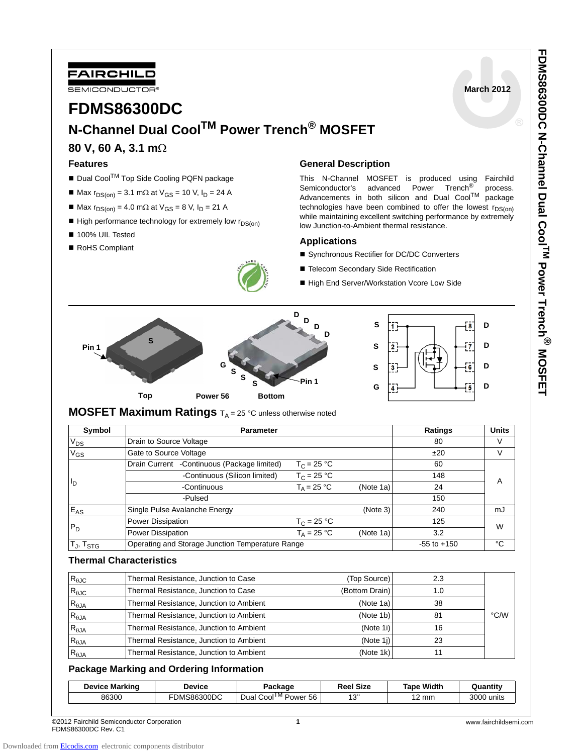

**March 2012**

# **FDMS86300DC N-Channel Dual CoolTM Power Trench® MOSFET**

## **80 V, 60 A, 3.1 m**Ω

#### **Features**

- Dual Cool<sup>TM</sup> Top Side Cooling PQFN package
- $M = \text{Max } r_{DS(on)} = 3.1 \text{ mA}$  at V<sub>GS</sub> = 10 V, I<sub>D</sub> = 24 A
- $Max r<sub>DS(on)</sub> = 4.0 mΩ at V<sub>GS</sub> = 8 V, I<sub>D</sub> = 21 A$
- $\blacksquare$  High performance technology for extremely low  $r_{DS(on)}$
- 100% UIL Tested
- RoHS Compliant



### **General Description**

This N-Channel MOSFET is produced using Fairchild Semiconductor's advanced Power Trench<sup>®</sup> process.<br>Advancements in both silicon and Dual Cool<sup>TM</sup> package Advancements in both silicon and Dual Cool $^{TM}$ technologies have been combined to offer the lowest  $r_{DS(on)}$ while maintaining excellent switching performance by extremely low Junction-to-Ambient thermal resistance.

#### **Applications**

- Synchronous Rectifier for DC/DC Converters
- Telecom Secondary Side Rectification
- High End Server/Workstation Vcore Low Side



## **MOSFET Maximum Ratings**  $T_A = 25$  °C unless otherwise noted

| Symbol                      | <b>Parameter</b>                                 |                      |           | <b>Ratings</b>  | <b>Units</b> |  |
|-----------------------------|--------------------------------------------------|----------------------|-----------|-----------------|--------------|--|
| $V_{DS}$                    | Drain to Source Voltage                          |                      |           | 80              |              |  |
| $V_{GS}$                    | Gate to Source Voltage                           |                      |           | ±20             | V            |  |
| l D                         | Drain Current - Continuous (Package limited)     | $T_C = 25 °C$        |           | 60              | А            |  |
|                             | -Continuous (Silicon limited)                    | $T_C = 25 °C$        |           | 148             |              |  |
|                             | -Continuous                                      | $T_A = 25 °C$        | (Note 1a) | 24              |              |  |
|                             | -Pulsed                                          |                      |           | 150             |              |  |
| E <sub>AS</sub>             | Single Pulse Avalanche Energy                    |                      | (Note 3)  | 240             | mJ           |  |
| $P_D$                       | Power Dissipation                                | $T_C = 25 °C$        |           | 125             | W            |  |
|                             | Power Dissipation                                | $T_{\Delta} = 25 °C$ | (Note 1a) | 3.2             |              |  |
| $T_{\rm J}$ , $T_{\rm STG}$ | Operating and Storage Junction Temperature Range |                      |           | $-55$ to $+150$ | °C           |  |

## **Thermal Characteristics**

| Thermal Resistance, Junction to Case    | (Top Source)   | 2.3 |      |
|-----------------------------------------|----------------|-----|------|
| Thermal Resistance, Junction to Case    | (Bottom Drain) | 1.0 |      |
| Thermal Resistance, Junction to Ambient | (Note 1a)      | 38  |      |
| Thermal Resistance, Junction to Ambient | (Note 1b)      | 81  | °C/W |
| Thermal Resistance, Junction to Ambient | (Note 1i)      | 16  |      |
| Thermal Resistance, Junction to Ambient | (Note 1)       | 23  |      |
| Thermal Resistance, Junction to Ambient | (Note 1k)      |     |      |
|                                         |                |     |      |

### **Package Marking and Ordering Information**

| <b>Device Marking</b> | <b>Device</b>      | Packaqe                                          | <b>Reel Size</b> | Tape Width          | Quantit\      |
|-----------------------|--------------------|--------------------------------------------------|------------------|---------------------|---------------|
| 86300                 | <b>FDMS86300DC</b> | TM<br>-<br>$\sim$<br>56<br>Dual<br>Cool<br>Power | 13"              | ◠<br>mm<br><u>_</u> | 3000<br>units |

©2012 Fairchild Semiconductor Corporation FDMS86300DC Rev. C1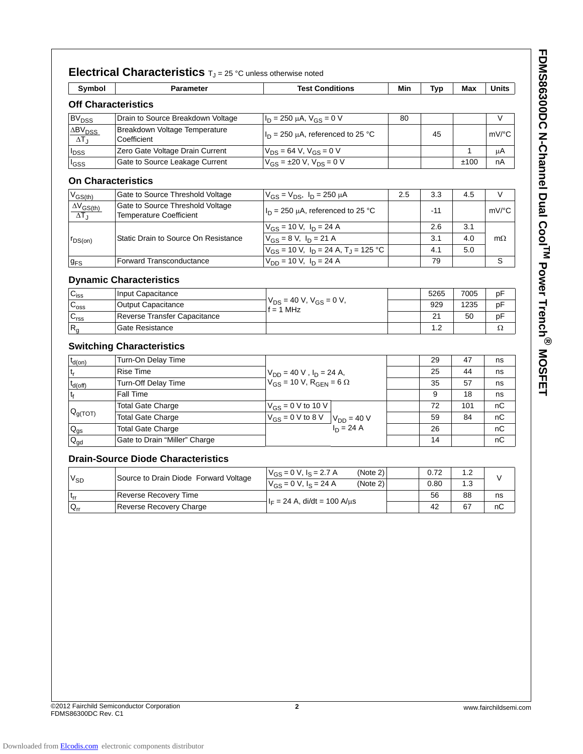| Symbol                                 | <b>Parameter</b>                                                   | <b>Test Conditions</b>                                 | Min | <b>Typ</b> | Max  | Units     |
|----------------------------------------|--------------------------------------------------------------------|--------------------------------------------------------|-----|------------|------|-----------|
|                                        | <b>Off Characteristics</b>                                         |                                                        |     |            |      |           |
| <b>BV<sub>DSS</sub></b>                | Drain to Source Breakdown Voltage                                  | $I_D = 250 \mu A$ , $V_{GS} = 0 V$                     | 80  |            |      | V         |
| $\Delta BV_{DSS}$<br>$\Delta T_J$      | Breakdown Voltage Temperature<br>Coefficient                       | $I_D = 250 \mu A$ , referenced to 25 °C                |     | 45         |      | mV/°C     |
| $I_{DSS}$                              | Zero Gate Voltage Drain Current                                    | $V_{DS} = 64 V$ , $V_{GS} = 0 V$                       |     |            | 1    | μA        |
| I <sub>GSS</sub>                       | Gate to Source Leakage Current                                     | $V_{GS} = \pm 20 \text{ V}, V_{DS} = 0 \text{ V}$      |     |            | ±100 | nA        |
|                                        | <b>On Characteristics</b>                                          |                                                        |     |            |      |           |
| $V_{GS(th)}$                           | Gate to Source Threshold Voltage                                   | $V_{GS} = V_{DS}$ , $I_D = 250 \mu A$                  | 2.5 | 3.3        | 4.5  | $\vee$    |
| $\frac{\Delta V_{GS(th)}}{\Delta T_J}$ | Gate to Source Threshold Voltage<br><b>Temperature Coefficient</b> | $I_D$ = 250 µA, referenced to 25 °C                    |     | -11        |      | mV/°C     |
|                                        |                                                                    | $V_{GS}$ = 10 V, $I_D$ = 24 A                          |     | 2.6        | 3.1  |           |
| $r_{DS(on)}$                           | Static Drain to Source On Resistance                               | $V_{GS} = 8 V, I_D = 21 A$                             |     | 3.1        | 4.0  | $m\Omega$ |
|                                        |                                                                    | $V_{GS}$ = 10 V, $I_D$ = 24 A, T <sub>J</sub> = 125 °C |     | 4.1        | 5.0  |           |
| <b>g<sub>FS</sub></b>                  | Forward Transconductance                                           | $V_{DD}$ = 10 V, $I_D$ = 24 A                          |     | 79         |      | S         |
|                                        | <b>Dynamic Characteristics</b>                                     |                                                        |     |            |      |           |
| $C_{iss}$                              | Input Capacitance                                                  |                                                        |     | 5265       | 7005 | рF        |
| $C_{\text{oss}}$                       | <b>Output Capacitance</b>                                          | $V_{DS}$ = 40 V, $V_{GS}$ = 0 V,                       |     | 929        | 1235 | рF        |
| C <sub>rss</sub>                       | Reverse Transfer Capacitance                                       | $f = 1$ MHz                                            |     | 21         | 50   | pF        |
| $R_g$                                  | Gate Resistance                                                    |                                                        |     | 1.2        |      | Ω         |
|                                        | <b>Switching Characteristics</b>                                   |                                                        |     |            |      |           |
| $t_{d(0n)}$                            | Turn-On Delay Time                                                 |                                                        |     | 29         | 47   | ns        |
| $t_{r}$                                | <b>Rise Time</b>                                                   | $V_{DD} = 40 V$ , $I_D = 24 A$ ,                       |     | 25         | 44   | ns        |
|                                        | Turn-Off Delay Time                                                | $V_{GS}$ = 10 V, R <sub>GEN</sub> = 6 $\Omega$         |     | 35         | 57   | ns        |
| $t_{d(off)}$<br>$t_f$                  | Fall Time                                                          |                                                        |     | 9          | 18   | ns        |
|                                        | <b>Total Gate Charge</b>                                           | $\overline{V_{GS}} = 0$ V to 10 V                      |     | 72         | 101  | пC        |
| $ Q_{g(TOT)} $                         | <b>Total Gate Charge</b>                                           | $V_{GS} = 0$ V to 8 V $V_{DD} = 40$ V                  |     | 59         | 84   | пC        |
| $\mathsf{Q}_{\underline{\mathsf{gs}}}$ | <b>Total Gate Charge</b>                                           | $I_D = 24 A$                                           |     | 26         |      | nС        |
| $\mathsf{Q}_{\mathsf{gd}}$             | Gate to Drain "Miller" Charge                                      |                                                        |     | 14         |      | пC        |
|                                        | <b>Drain-Source Diode Characteristics</b>                          |                                                        |     |            |      |           |
|                                        |                                                                    | $V_{GS} = 0 V$ , $I_S = 2.7 A$<br>(Note 2)             |     | 0.72       | 1.2  |           |
| $V_{SD}$                               | Source to Drain Diode Forward Voltage                              | $V_{GS} = 0 V$ , $I_S = 24 A$<br>(Note 2)              |     | 0.80       | 1.3  | V         |
| $\mathfrak{t}_{\text{rr}}$             | Reverse Recovery Time                                              |                                                        |     | 56         | 88   | ns        |
| $Q_{rr}$                               | Reverse Recovery Charge                                            | $I_F = 24 A$ , di/dt = 100 A/µs                        |     | 42         | 67   | nC        |
|                                        |                                                                    |                                                        |     |            |      |           |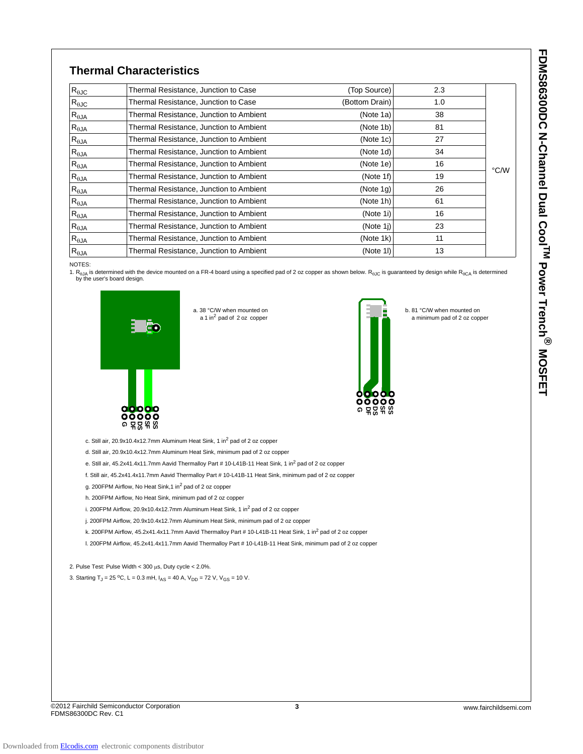b. 81 °C/W when mounted on a minimum pad of 2 oz copper

## **Thermal Characteristics**

| $R_{\theta$ JC  | Thermal Resistance, Junction to Case    | (Top Source)   | 2.3 |      |
|-----------------|-----------------------------------------|----------------|-----|------|
|                 |                                         |                |     |      |
| $R_{\theta$ JC  | Thermal Resistance, Junction to Case    | (Bottom Drain) | 1.0 |      |
| $R_{\theta JA}$ | Thermal Resistance, Junction to Ambient | (Note 1a)      | 38  |      |
| $R_{\theta JA}$ | Thermal Resistance, Junction to Ambient | (Note 1b)      | 81  |      |
| $R_{\theta JA}$ | Thermal Resistance, Junction to Ambient | (Note 1c)      | 27  |      |
| $R_{\theta$ JA  | Thermal Resistance, Junction to Ambient | (Note 1d)      | 34  |      |
| $R_{\theta JA}$ | Thermal Resistance, Junction to Ambient | (Note 1e)      | 16  | °C/W |
| $R_{\theta JA}$ | Thermal Resistance, Junction to Ambient | (Note 1f)      | 19  |      |
| $R_{\theta JA}$ | Thermal Resistance, Junction to Ambient | (Note 1q)      | 26  |      |
| $R_{\theta$ JA  | Thermal Resistance, Junction to Ambient | (Note 1h)      | 61  |      |
| $R_{\theta JA}$ | Thermal Resistance, Junction to Ambient | (Note 1i)      | 16  |      |
| $R_{\theta JA}$ | Thermal Resistance, Junction to Ambient | (Note 1 $i$ )  | 23  |      |
| $R_{\theta$ JA  | Thermal Resistance, Junction to Ambient | (Note 1k)      | 11  |      |
| $R_{\theta JA}$ | Thermal Resistance, Junction to Ambient | (Note 1I)      | 13  |      |

#### NOTES:

1. R<sub>θJA</sub> is determined with the device mounted on a FR-4 board using a specified pad of 2 oz copper as shown below. R<sub>θJC</sub> is guaranteed by design while R<sub>θCA</sub> is determined<br>by the user's board design.

**G DF DS** <u>ማ</u> **SS**



c. Still air,  $20.9x10.4x12.7mm$  Aluminum Heat Sink, 1 in $^2$  pad of 2 oz copper

d. Still air, 20.9x10.4x12.7mm Aluminum Heat Sink, minimum pad of 2 oz copper

e. Still air, 45.2x41.4x11.7mm Aavid Thermalloy Part # 10-L41B-11 Heat Sink, 1 in<sup>2</sup> pad of 2 oz copper

f. Still air, 45.2x41.4x11.7mm Aavid Thermalloy Part # 10-L41B-11 Heat Sink, minimum pad of 2 oz copper

a 1 in<sup>2</sup> pad of 2 oz copper

g. 200FPM Airflow, No Heat Sink,1 in<sup>2</sup> pad of 2 oz copper

h. 200FPM Airflow, No Heat Sink, minimum pad of 2 oz copper

i. 200FPM Airflow, 20.9x10.4x12.7mm Aluminum Heat Sink, 1 in $^2$  pad of 2 oz copper

j. 200FPM Airflow, 20.9x10.4x12.7mm Aluminum Heat Sink, minimum pad of 2 oz copper

k. 200FPM Airflow, 45.2x41.4x11.7mm Aavid Thermalloy Part # 10-L41B-11 Heat Sink, 1 in<sup>2</sup> pad of 2 oz copper

l. 200FPM Airflow, 45.2x41.4x11.7mm Aavid Thermalloy Part # 10-L41B-11 Heat Sink, minimum pad of 2 oz copper

2. Pulse Test: Pulse Width < 300 μs, Duty cycle < 2.0%.

3. Starting T<sub>J</sub> = 25 °C, L = 0.3 mH,  $I_{AS}$  = 40 A,  $V_{DD}$  = 72 V,  $V_{GS}$  = 10 V.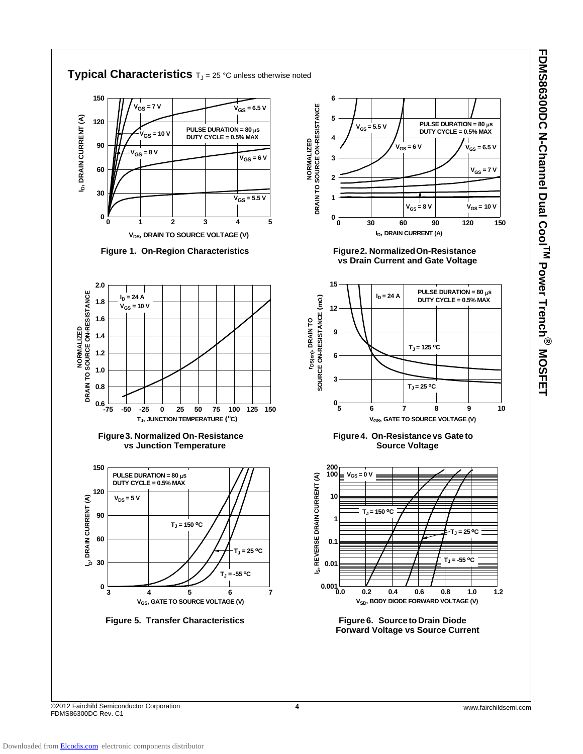



©2012 Fairchild Semiconductor Corporation **4** www.fairchildsemi.com FDMS86300DC Rev. C1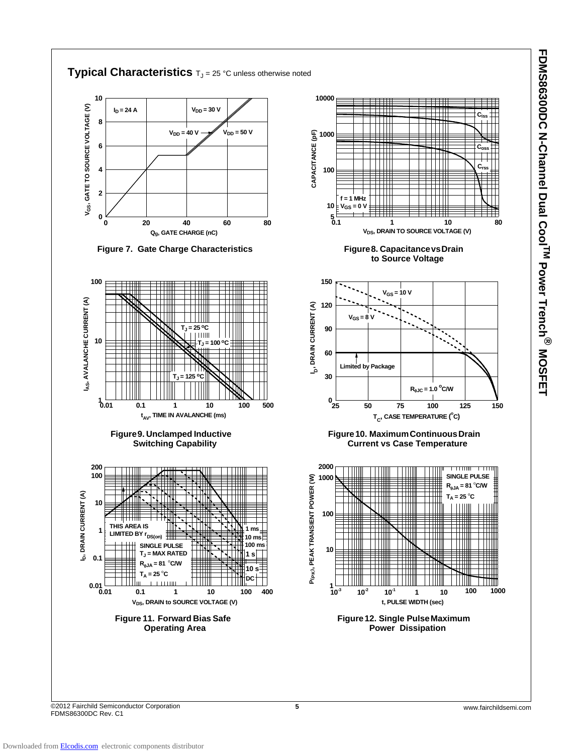

©2012 Fairchild Semiconductor Corporation **5** www.fairchildsemi.com FDMS86300DC Rev. C1

**FDMS86300DC N-Channel Dual CoolTM Power Trench**

**EDMS86300DC N-Channel Dual Cool<sup>TM</sup> Power Trench<sup>®</sup> MOSFET** 

**MOSFET**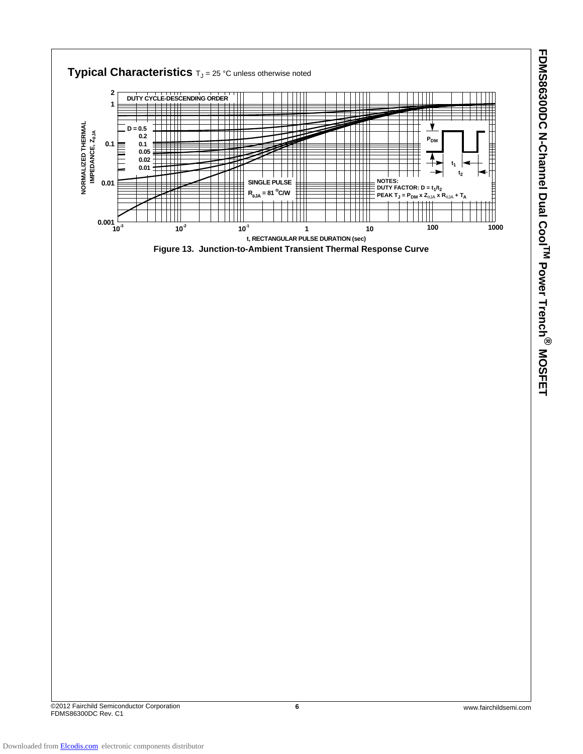

©2012 Fairchild Semiconductor Corporation **6** www.fairchildsemi.com FDMS86300DC Rev. C1

**FDMS86300DC N-Channel Dual CoolTM Power Trench**

**PDMS86300DC N-Channel Dual CoolTM Power Trench® MOSFET** 

**MOSFET**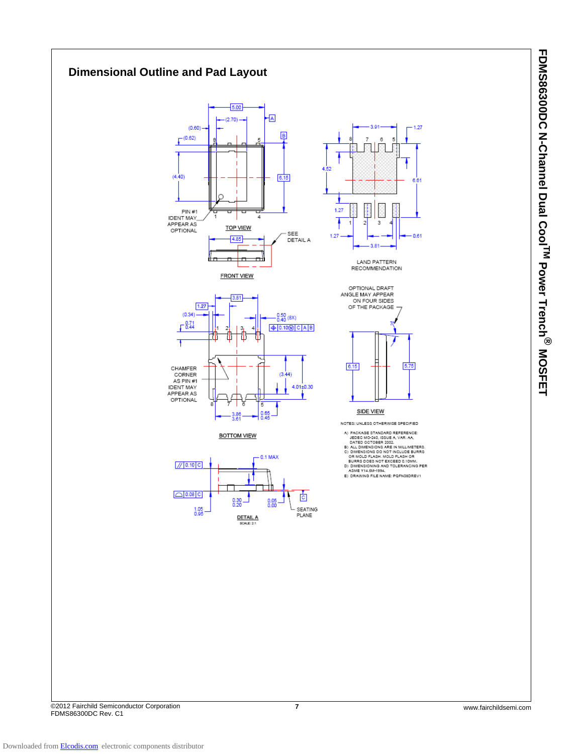

**FDMS86300DC N-Channel Dual CoolTM Power Trench FDMS86300DC N-Channel Dual Cool<sup>TM</sup> Power Trench<sup>®</sup> MOSFET MOSFET**